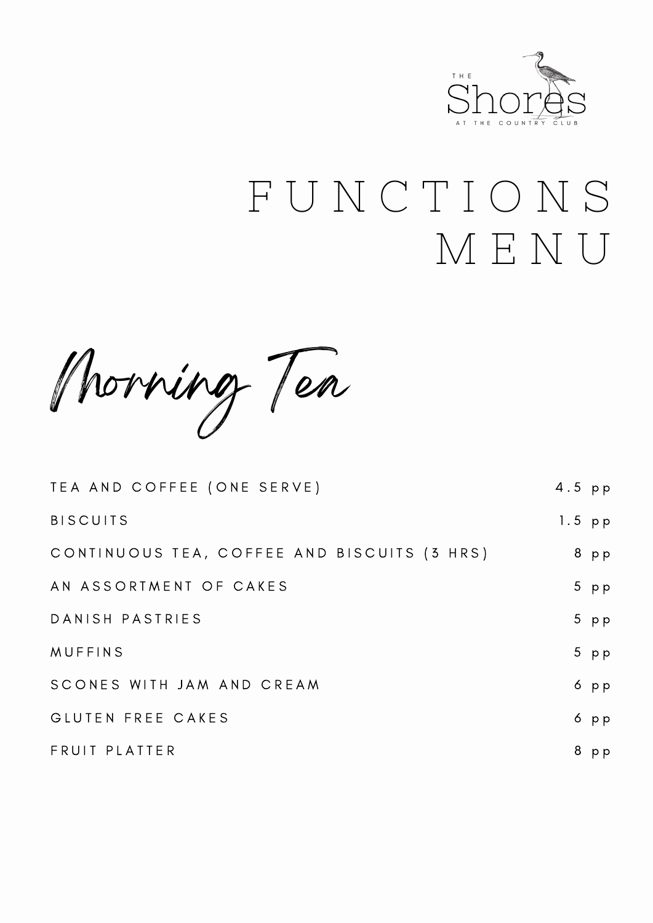

# F U N C T I O N S M E N U

Morning Tea

| TEA AND COFFEE (ONE SERVE)                  | $4.5$ pp |        |
|---------------------------------------------|----------|--------|
| <b>BISCUITS</b>                             | $1.5$ pp |        |
| CONTINUOUS TEA, COFFEE AND BISCUITS (3 HRS) |          | 8 pp   |
| AN ASSORTMENT OF CAKES                      |          | $5$ pp |
| DANISH PASTRIES                             |          | $5$ pp |
| <b>MUFFINS</b>                              |          | $5$ pp |
| SCONES WITH JAM AND CREAM                   |          | $6$ pp |
| GLUTEN FREE CAKES                           |          | $6$ pp |
| FRUIT PLATTER                               | 8        | p p    |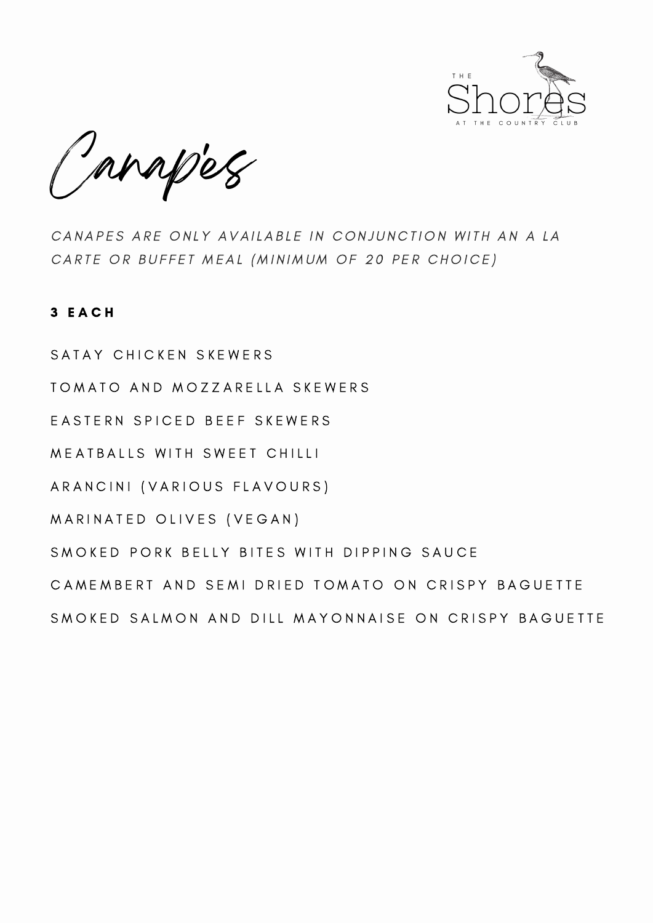

Canapes '

CANAPES ARE ONLY AVAILABLE IN CONJUNCTION WITH AN A LA CARTE OR BUFFET MEAL (MINIMUM OF 20 PER CHOICE)

## 3 E A C H

SATAY CHICKEN SKEWERS TOMATO AND MOZZARELLA SKEWERS EASTERN SPICED BEEF SKEWERS MEATBALLS WITH SWEET CHILLI ARANCINI (VARIOUS FLAVOURS) MARINATED OLIVES (VEGAN) SMOKED PORK BELLY BITES WITH DIPPING SAUCE CAMEMBERT AND SEMI DRIED TOMATO ON CRISPY BAGUETTE SMOKED SALMON AND DILL MAYONNAISE ON CRISPY BAGUETTE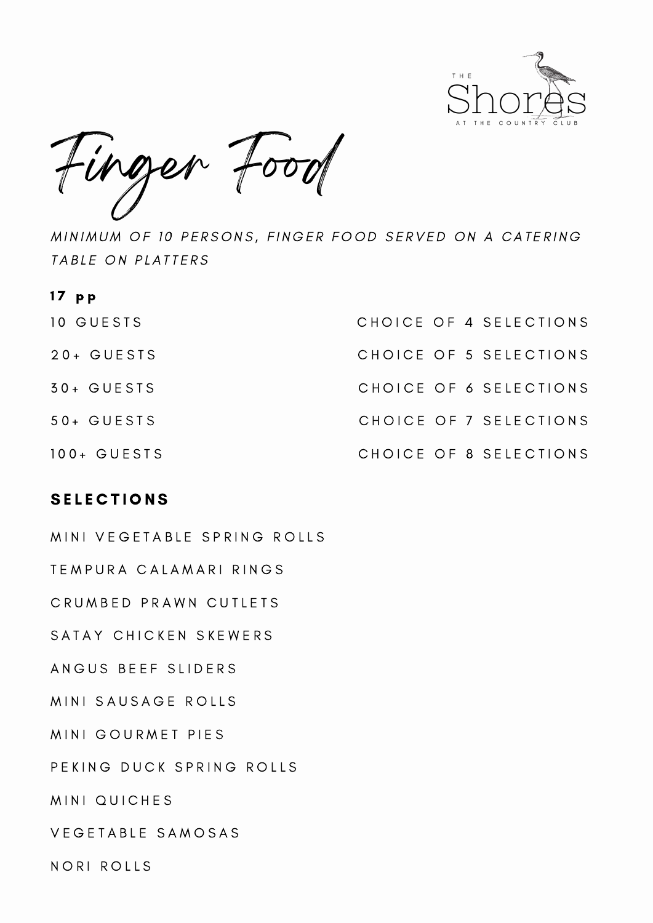



MINIMUM OF 10 PERSONS, FINGER FOOD SERVED ON A CATERING TABLE ON PLATTERS

| $17$ pp        |                        |
|----------------|------------------------|
| 10 GUESTS      | CHOICE OF 4 SELECTIONS |
| $20+$ GUESTS   | CHOICE OF 5 SELECTIONS |
| $30 + GUESTS$  | CHOICE OF 6 SELECTIONS |
| $50 + GUESTS$  | CHOICE OF 7 SELECTIONS |
| $100 + GUESTS$ | CHOICE OF 8 SELECTIONS |

## **SELECTIONS**

MINI VEGETABLE SPRING ROLLS TEMPURA CALAMARI RINGS CRUMBED PRAWN CUTLETS SATAY CHICKEN SKEWERS ANGUS BEEF SLIDERS MINI SAUSAGE ROLLS MINI GOURMET PIES PEKING DUCK SPRING ROLLS MINI QUICHES VEGETABLE SAMOSAS NORI ROLLS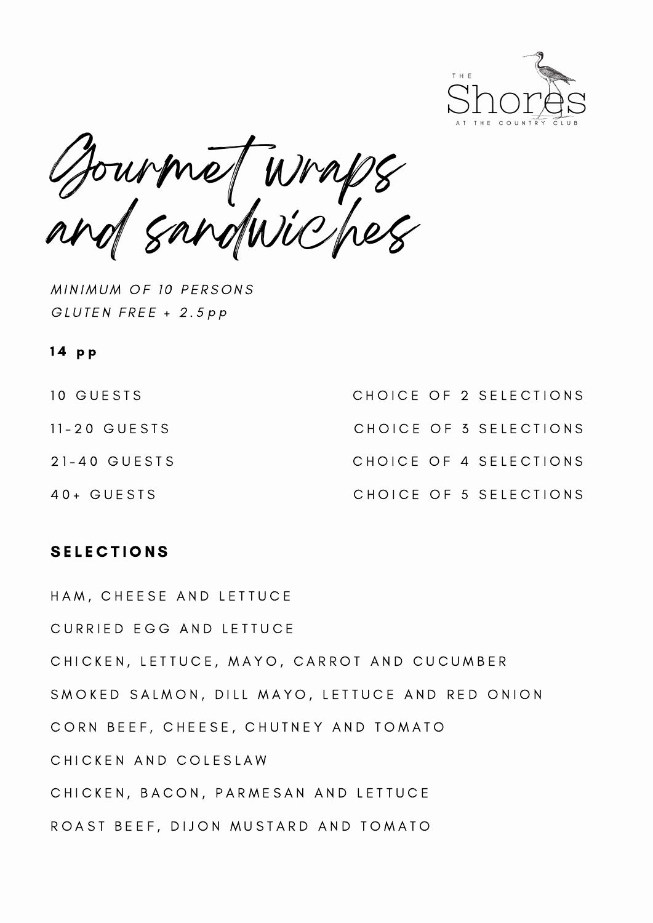

Gourmet wraps and sandwiches

MINIMUM OF 10 PERSONS GLUTEN FREE + 2.5 p p

## 14 pp

| 10 GUESTS    |  | CHOICE OF 2 SELECTIONS |
|--------------|--|------------------------|
| 11-20 GUESTS |  | CHOICE OF 3 SELECTIONS |
| 21-40 GUESTS |  | CHOICE OF 4 SELECTIONS |
| 40+ GUESTS   |  | CHOICE OF 5 SELECTIONS |

## **SELECTIONS**

HAM, CHEESE AND LETTUCE CURRIED EGG AND LETTUCE CHICKEN, LETTUCE, MAYO, CARROT AND CUCUMBER SMOKED SALMON, DILL MAYO, LETTUCE AND RED ONION CORN BEEF, CHEESE, CHUTNEY AND TOMATO CHICKEN AND COLESLAW CHICKEN, BACON, PARMESAN AND LETTUCE ROAST BEEF, DIJON MUSTARD AND TOMATO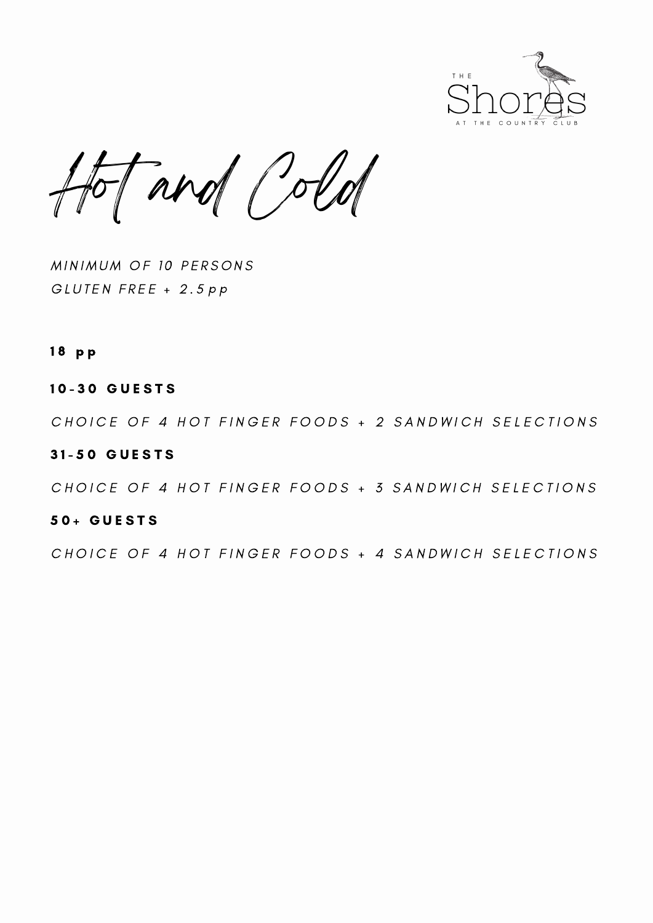

Hot and Cold

MINIMUM OF 10 PERSONS GLUTEN FREE + 2.5 p p

#### 1 8 p p

#### 10-30 GUESTS

CHOICE OF 4 HOT FINGER FOODS + 2 SANDWICH SELECTIONS

#### 3 1 - 5 0 G U E S T S

CHOICE OF 4 HOT FINGER FOODS + 3 SANDWICH SELECTIONS

#### 5 0 + G U E S T S

CHOICE OF 4 HOT FINGER FOODS + 4 SANDWICH SELECTIONS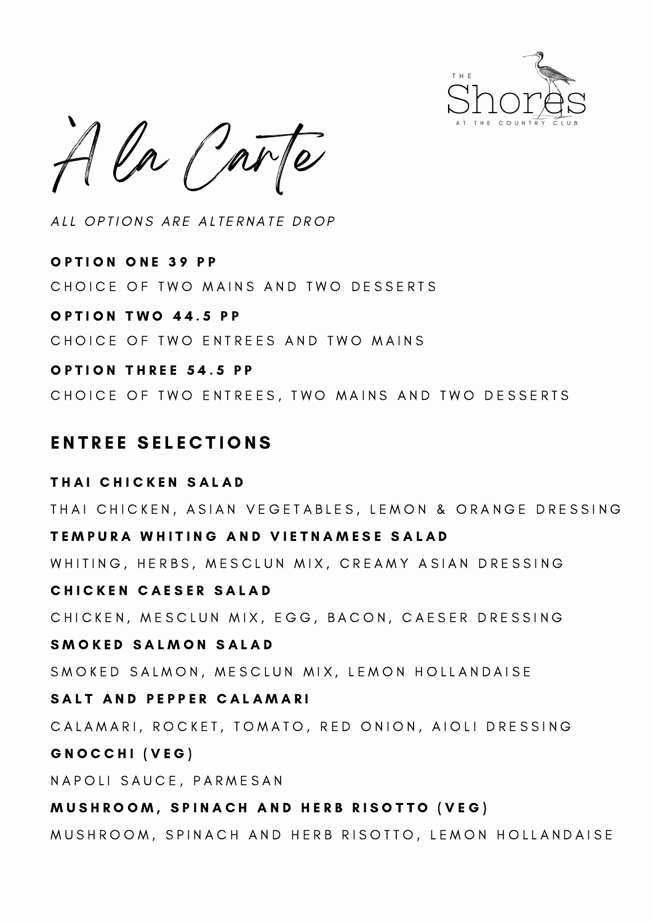

 $ln f$ ar  $\overline{\phantom{a}}$ 

ALL OPTIONS ARE ALTERNATE DROP

OPTION ONE 39 PP OPTION TWO 44.5 PP CHOICE OF TWO MAINS AND TWO DESSERTS CHOICE OF TWO ENTREES AND TWO MAINS

OPTION THREE 54.5 PP CHOICE OF TWO ENTREES, TWO MAINS AND TWO DESSERTS

## ENTREE SELECTIONS

THAI CHICKEN SALAD TEMPURA WHITING AND VIETNAMESE SALAD CHICKEN CAESER SALAD SMOKED SALMON SALAD SALT AND PEPPER CALAMARI GNOCCHI (VEG) MUSHROOM, SPINACH AND HERB RISOTTO (VEG) THAI CHICKEN, ASIAN VEGETABLES, LEMON & ORANGE DRESSING WHITING, HERBS, MESCLUN MIX, CREAMY ASIAN DRESSING CHICKEN, MESCLUN MIX, EGG, BACON, CAESER DRESSING SMOKED SALMON, MESCLUN MIX, LEMON HOLLANDAISE CALAMARI, ROCKET, TOMATO, RED ONION, AIOLI DRESSING N A P O LI S A U C E, P A R M E S A N MUSHROOM, SPINACH AND HERB RISOTTO, LEMON HOLLANDAISE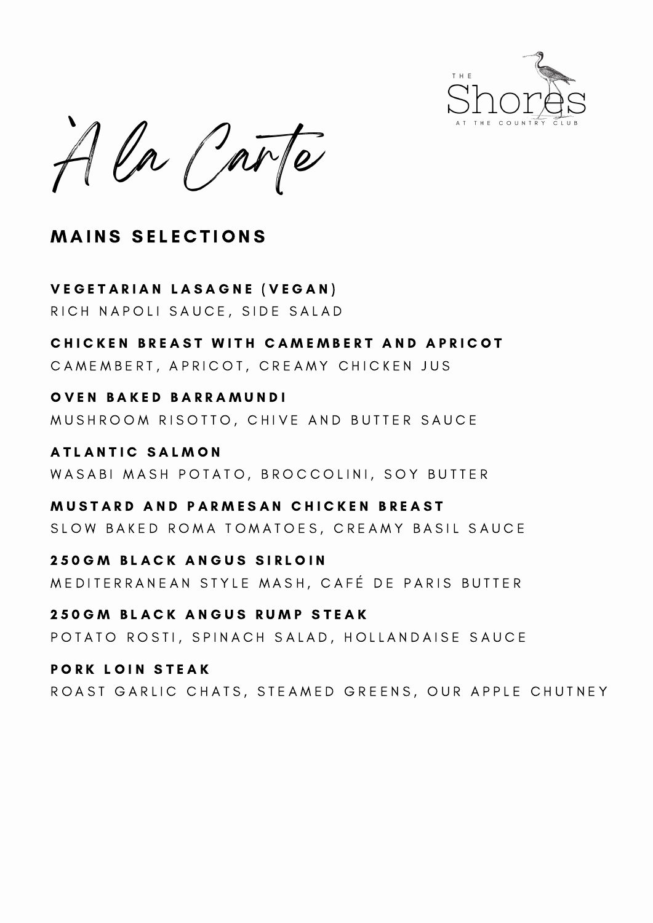

A la Carte  $\overline{\phantom{a}}$ 

# **MAINS SELECTIONS**

VEGETARIAN LASAGNE (VEGAN) RICH NAPOLI SAUCE, SIDE SALAD

CHICKEN BREAST WITH CAMEMBERT AND APRICOT CAMEMBERT, APRICOT, CREAMY CHICKEN JUS

OVEN BAKED BARRAMUNDI MUSHROOM RISOTTO, CHIVE AND BUTTER SAUCE

**ATLANTIC SALMON** WASABI MASH POTATO, BROCCOLINI, SOY BUTTER

MUSTARD AND PARMESAN CHICKEN BREAST SLOW BAKED ROMA TOMATOES, CREAMY BASIL SAUCE

**250 GM BLACK ANGUS SIRLOIN** MEDITERRANEAN STYLE MASH, CAFÉ DE PARIS BUTTER

250 GM BLACK ANGUS RUMP STEAK POTATO ROSTI, SPINACH SALAD, HOLLANDAISE SAUCE

PORK LOIN STEAK ROAST GARLIC CHATS, STEAMED GREENS, OUR APPLE CHUTNEY